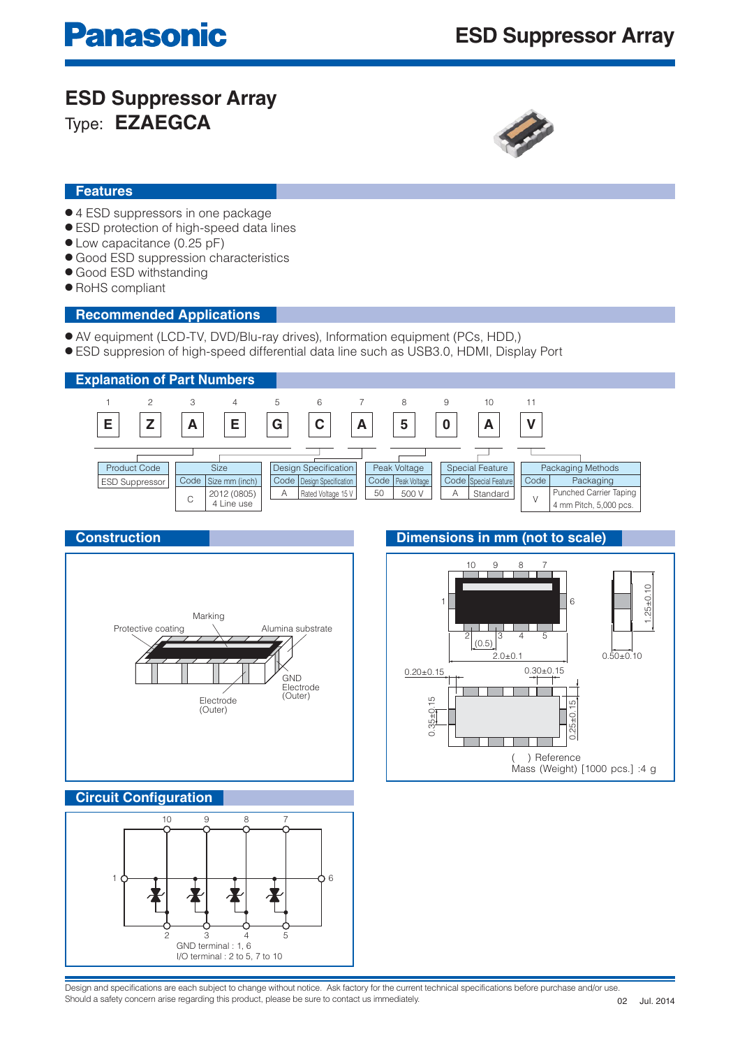# **ESD Suppressor Array** Type: **EZAEGCA**



## **Features**

- 4 ESD suppressors in one package
- ESD protection of high-speed data lines
- Low capacitance (0.25 pF)
- Good ESD suppression characteristics
- Good ESD withstanding
- RoHS compliant

### **Recommended Applications**

- AV equipment (LCD-TV, DVD/Blu-ray drives), Information equipment (PCs, HDD,)
- ESD suppresion of high-speed differential data line such as USB3.0, HDMI, Display Port



## **Construction**



## **Dimensions in mm (not to scale)**



### **Circuit Configuration**



Design and specifications are each subject to change without notice. Ask factory for the current technical specifications before purchase and/or use. Should a safety concern arise regarding this product, please be sure to contact us immediately.